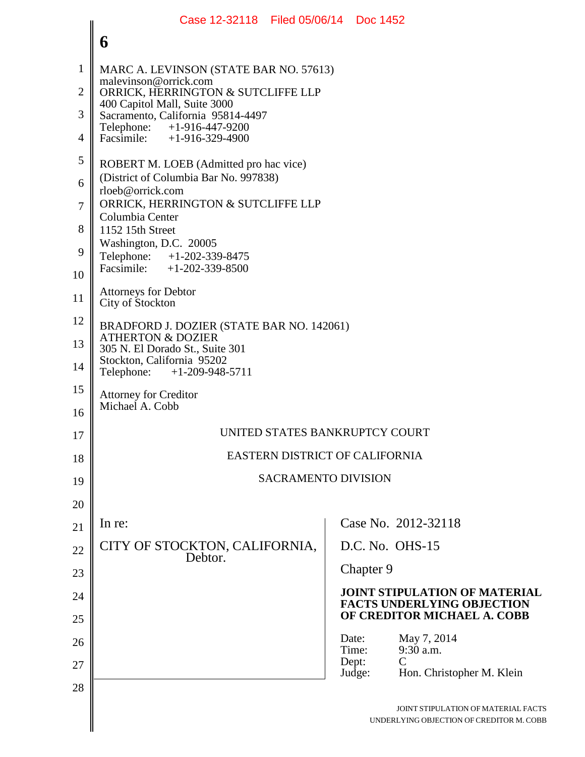## **6** 1 2 3 4 5 6 7 8 9 10 11 12 13 14 15 16 17 18 19 20 21 22 23 24 25 26 27 28 MARC A. LEVINSON (STATE BAR NO. 57613) malevinson@orrick.com ORRICK, HERRINGTON & SUTCLIFFE LLP 400 Capitol Mall, Suite 3000 Sacramento, California 95814-4497<br>Telephone: +1-916-447-9200 Telephone: +1-916-447-9200<br>Facsimile: +1-916-329-4900  $+1-916-329-4900$ ROBERT M. LOEB (Admitted pro hac vice) (District of Columbia Bar No. 997838) rloeb@orrick.com ORRICK, HERRINGTON & SUTCLIFFE LLP Columbia Center 1152 15th Street Washington, D.C. 20005 Telephone: +1-202-339-8475<br>Facsimile: +1-202-339-8500  $+1-202-339-8500$ Attorneys for Debtor City of Stockton BRADFORD J. DOZIER (STATE BAR NO. 142061) ATHERTON & DOZIER 305 N. El Dorado St., Suite 301 Stockton, California 95202 Telephone: +1-209-948-5711 Attorney for Creditor Michael A. Cobb UNITED STATES BANKRUPTCY COURT EASTERN DISTRICT OF CALIFORNIA SACRAMENTO DIVISION In re: CITY OF STOCKTON, CALIFORNIA, Debtor. Case No. 2012-32118 D.C. No. OHS-15 Chapter 9 **JOINT STIPULATION OF MATERIAL FACTS UNDERLYING OBJECTION OF CREDITOR MICHAEL A. COBB** Date: May 7, 2014<br>Time: 9:30 a.m.  $9:30$  a.m.<br>C Dept:<br>Judge: Hon. Christopher M. Klein Case 12-32118 Filed 05/06/14 Doc 1452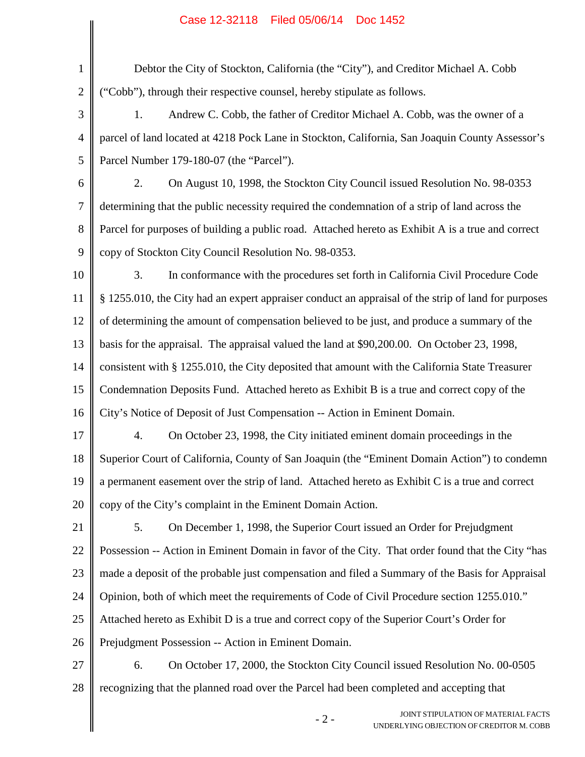## Case 12-32118 Filed 05/06/14 Doc 1452

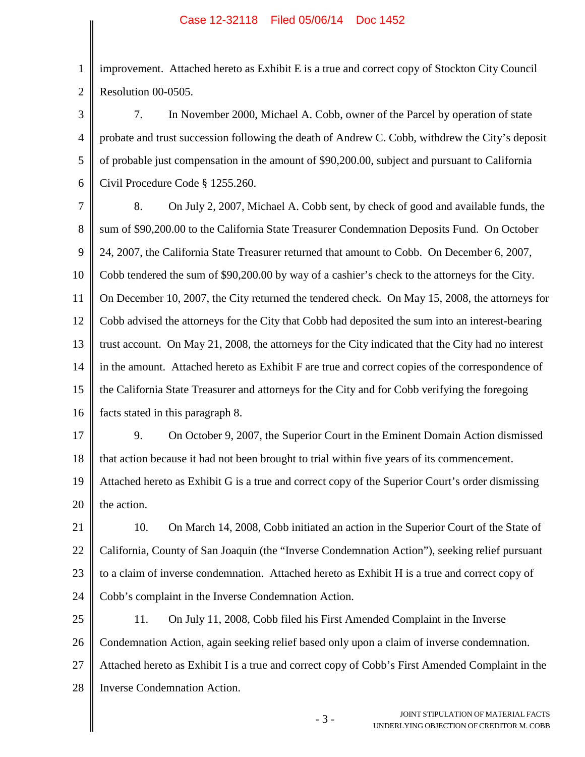1 2 improvement. Attached hereto as Exhibit E is a true and correct copy of Stockton City Council Resolution 00-0505.

3 4 5 6 7. In November 2000, Michael A. Cobb, owner of the Parcel by operation of state probate and trust succession following the death of Andrew C. Cobb, withdrew the City's deposit of probable just compensation in the amount of \$90,200.00, subject and pursuant to California Civil Procedure Code § 1255.260.

7 8 9 10 11 12 13 14 15 16 8. On July 2, 2007, Michael A. Cobb sent, by check of good and available funds, the sum of \$90,200.00 to the California State Treasurer Condemnation Deposits Fund. On October 24, 2007, the California State Treasurer returned that amount to Cobb. On December 6, 2007, Cobb tendered the sum of \$90,200.00 by way of a cashier's check to the attorneys for the City. On December 10, 2007, the City returned the tendered check. On May 15, 2008, the attorneys for Cobb advised the attorneys for the City that Cobb had deposited the sum into an interest-bearing trust account. On May 21, 2008, the attorneys for the City indicated that the City had no interest in the amount. Attached hereto as Exhibit F are true and correct copies of the correspondence of the California State Treasurer and attorneys for the City and for Cobb verifying the foregoing facts stated in this paragraph 8.

17 18 9. On October 9, 2007, the Superior Court in the Eminent Domain Action dismissed that action because it had not been brought to trial within five years of its commencement.

19 20 Attached hereto as Exhibit G is a true and correct copy of the Superior Court's order dismissing the action.

21 22 23 24 10. On March 14, 2008, Cobb initiated an action in the Superior Court of the State of California, County of San Joaquin (the "Inverse Condemnation Action"), seeking relief pursuant to a claim of inverse condemnation. Attached hereto as Exhibit H is a true and correct copy of Cobb's complaint in the Inverse Condemnation Action.

25 26 27 28 11. On July 11, 2008, Cobb filed his First Amended Complaint in the Inverse Condemnation Action, again seeking relief based only upon a claim of inverse condemnation. Attached hereto as Exhibit I is a true and correct copy of Cobb's First Amended Complaint in the Inverse Condemnation Action.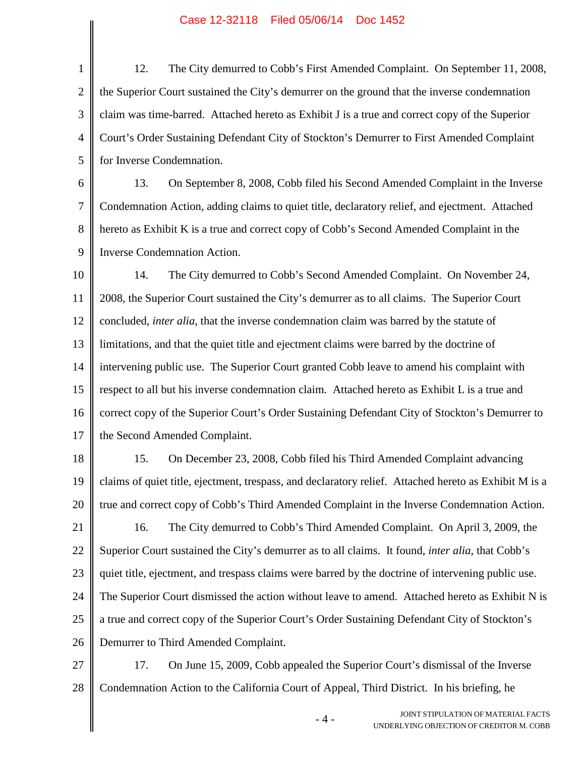## Case 12-32118 Filed 05/06/14 Doc 1452

1 2 3 4 5 12. The City demurred to Cobb's First Amended Complaint. On September 11, 2008, the Superior Court sustained the City's demurrer on the ground that the inverse condemnation claim was time-barred. Attached hereto as Exhibit J is a true and correct copy of the Superior Court's Order Sustaining Defendant City of Stockton's Demurrer to First Amended Complaint for Inverse Condemnation.

6 7 8 9 13. On September 8, 2008, Cobb filed his Second Amended Complaint in the Inverse Condemnation Action, adding claims to quiet title, declaratory relief, and ejectment. Attached hereto as Exhibit K is a true and correct copy of Cobb's Second Amended Complaint in the Inverse Condemnation Action.

10 11 12 13 14 15 16 17 14. The City demurred to Cobb's Second Amended Complaint. On November 24, 2008, the Superior Court sustained the City's demurrer as to all claims. The Superior Court concluded, *inter alia*, that the inverse condemnation claim was barred by the statute of limitations, and that the quiet title and ejectment claims were barred by the doctrine of intervening public use. The Superior Court granted Cobb leave to amend his complaint with respect to all but his inverse condemnation claim. Attached hereto as Exhibit L is a true and correct copy of the Superior Court's Order Sustaining Defendant City of Stockton's Demurrer to the Second Amended Complaint.

18 19 20 15. On December 23, 2008, Cobb filed his Third Amended Complaint advancing claims of quiet title, ejectment, trespass, and declaratory relief. Attached hereto as Exhibit M is a true and correct copy of Cobb's Third Amended Complaint in the Inverse Condemnation Action.

21 22 23 24 25 26 16. The City demurred to Cobb's Third Amended Complaint. On April 3, 2009, the Superior Court sustained the City's demurrer as to all claims. It found, *inter alia*, that Cobb's quiet title, ejectment, and trespass claims were barred by the doctrine of intervening public use. The Superior Court dismissed the action without leave to amend. Attached hereto as Exhibit N is a true and correct copy of the Superior Court's Order Sustaining Defendant City of Stockton's Demurrer to Third Amended Complaint.

27 28 17. On June 15, 2009, Cobb appealed the Superior Court's dismissal of the Inverse Condemnation Action to the California Court of Appeal, Third District. In his briefing, he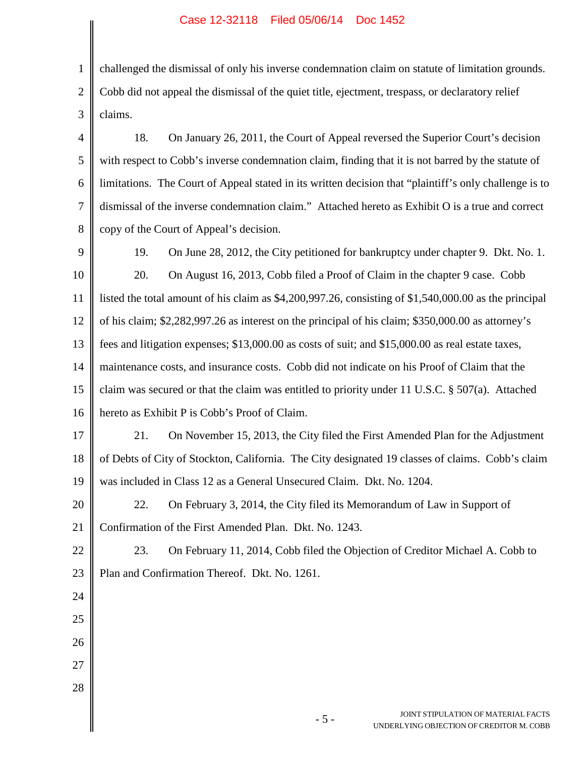## Case 12-32118 Filed 05/06/14 Doc 1452

1 2 3 challenged the dismissal of only his inverse condemnation claim on statute of limitation grounds. Cobb did not appeal the dismissal of the quiet title, ejectment, trespass, or declaratory relief claims. 18. On January 26, 2011, the Court of Appeal reversed the Superior Court's decision

4 5 6 7 8 with respect to Cobb's inverse condemnation claim, finding that it is not barred by the statute of limitations. The Court of Appeal stated in its written decision that "plaintiff's only challenge is to dismissal of the inverse condemnation claim." Attached hereto as Exhibit O is a true and correct copy of the Court of Appeal's decision.

9

24

25

26

27

28

19. On June 28, 2012, the City petitioned for bankruptcy under chapter 9. Dkt. No. 1.

10 11 12 13 14 15 16 20. On August 16, 2013, Cobb filed a Proof of Claim in the chapter 9 case. Cobb listed the total amount of his claim as \$4,200,997.26, consisting of \$1,540,000.00 as the principal of his claim; \$2,282,997.26 as interest on the principal of his claim; \$350,000.00 as attorney's fees and litigation expenses; \$13,000.00 as costs of suit; and \$15,000.00 as real estate taxes, maintenance costs, and insurance costs. Cobb did not indicate on his Proof of Claim that the claim was secured or that the claim was entitled to priority under 11 U.S.C. § 507(a). Attached hereto as Exhibit P is Cobb's Proof of Claim.

17 18 19 21. On November 15, 2013, the City filed the First Amended Plan for the Adjustment of Debts of City of Stockton, California. The City designated 19 classes of claims. Cobb's claim was included in Class 12 as a General Unsecured Claim. Dkt. No. 1204.

20 21 22. On February 3, 2014, the City filed its Memorandum of Law in Support of Confirmation of the First Amended Plan. Dkt. No. 1243.

22 23 23. On February 11, 2014, Cobb filed the Objection of Creditor Michael A. Cobb to Plan and Confirmation Thereof. Dkt. No. 1261.

> - 5 - JOINT STIPULATION OF MATERIAL FACTS UNDERLYING OBJECTION OF CREDITOR M. COBB